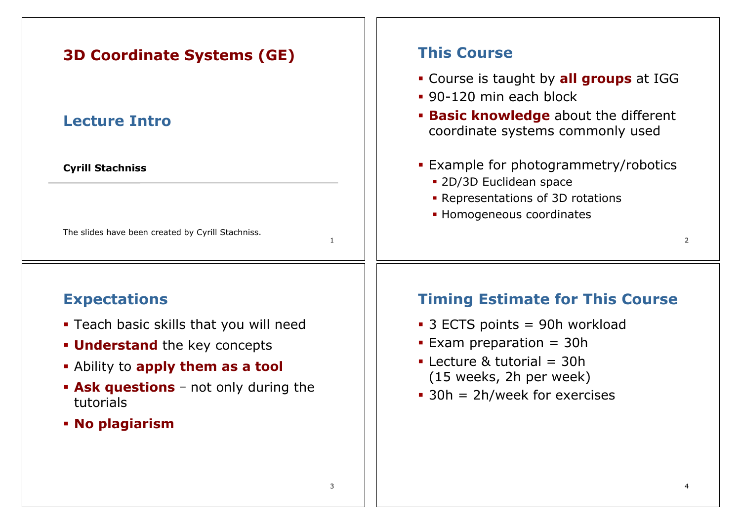| <b>3D Coordinate Systems (GE)</b>                                 | <b>This Course</b>                                                                                                                                   |
|-------------------------------------------------------------------|------------------------------------------------------------------------------------------------------------------------------------------------------|
| <b>Lecture Intro</b>                                              | • Course is taught by all groups at IGG<br>• 90-120 min each block<br><b>Basic knowledge</b> about the different<br>coordinate systems commonly used |
| <b>Cyrill Stachniss</b>                                           | <b>Example for photogrammetry/robotics</b><br>• 2D/3D Euclidean space<br>• Representations of 3D rotations                                           |
| The slides have been created by Cyrill Stachniss.<br>$\mathbf{1}$ | • Homogeneous coordinates<br>2                                                                                                                       |
| <b>Expectations</b>                                               | <b>Timing Estimate for This Course</b>                                                                                                               |
| • Teach basic skills that you will need                           | • 3 ECTS points = 90h workload                                                                                                                       |
| <b>Understand</b> the key concepts                                | Exam preparation = $30h$                                                                                                                             |
| . Ability to apply them as a tool                                 | • Lecture & tutorial $=$ 30h                                                                                                                         |
| • Ask questions - not only during the<br>tutorials                | (15 weeks, 2h per week)<br>$\bullet$ 30h = 2h/week for exercises                                                                                     |
| • No plagiarism                                                   |                                                                                                                                                      |
|                                                                   |                                                                                                                                                      |
|                                                                   |                                                                                                                                                      |